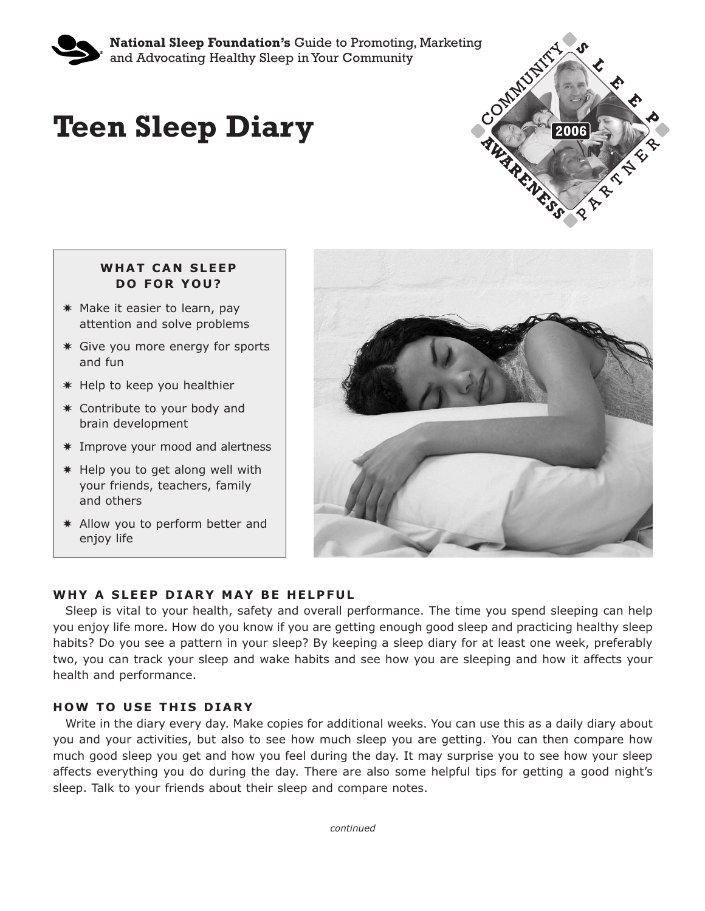

**National Sleep Foundation's** Guide to Promoting, Marketing<br>and Advocating Healthy Sleep in Your Community<br> **CL – Example 2014** and Advocating Healthy Sleep in Your Community

# **Teen Sleep Diary**



## **WHAT CAN SLEEP DO FOR YOU?**

- **✷** Make it easier to learn, pay attention and solve problems
- **✷** Give you more energy for sports and fun
- **✷** Help to keep you healthier
- **✷** Contribute to your body and brain development
- **✷** Improve your mood and alertness
- **✷** Help you to get along well with your friends, teachers, family and others
- **✷** Allow you to perform better and enjoy life



# **WHY A SLEEP DIARY MAY BE HELPFUL**

Sleep is vital to your health, safety and overall performance. The time you spend sleeping can help you enjoy life more. How do you know if you are getting enough good sleep and practicing healthy sleep habits? Do you see a pattern in your sleep? By keeping a sleep diary for at least one week, preferably two, you can track your sleep and wake habits and see how you are sleeping and how it affects your health and performance.

## **HOW TO USE THIS DIARY**

Write in the diary every day. Make copies for additional weeks. You can use this as a daily diary about you and your activities, but also to see how much sleep you are getting. You can then compare how much good sleep you get and how you feel during the day. It may surprise you to see how your sleep affects everything you do during the day. There are also some helpful tips for getting a good night's sleep. Talk to your friends about their sleep and compare notes.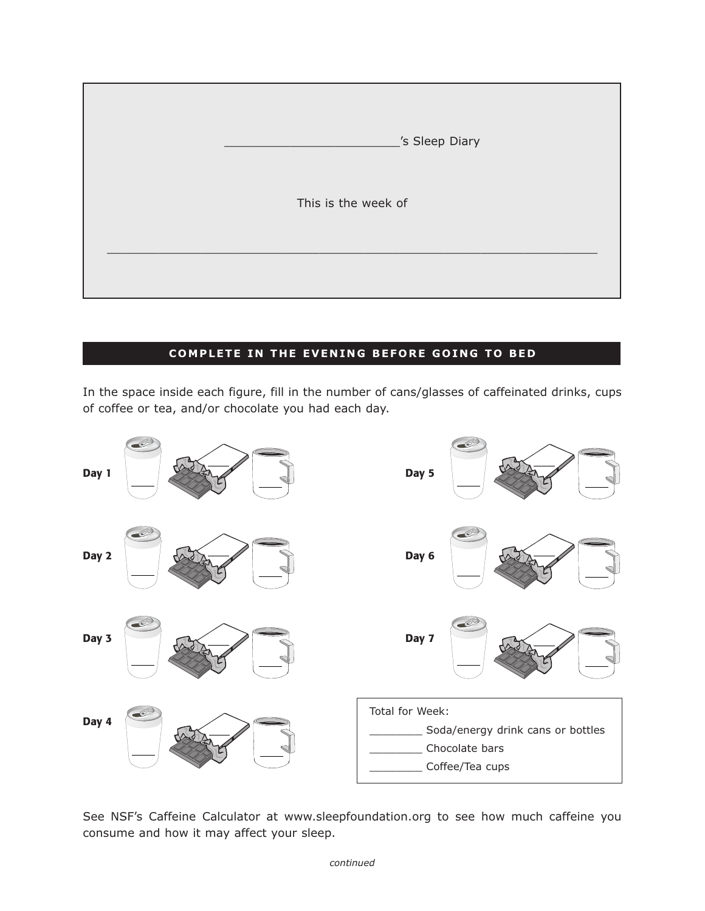

## **COMPLETE IN THE EVENING BEFORE GOING TO BED**

In the space inside each figure, fill in the number of cans/glasses of caffeinated drinks, cups of coffee or tea, and/or chocolate you had each day.



See NSF's Caffeine Calculator at www.sleepfoundation.org to see how much caffeine you consume and how it may affect your sleep.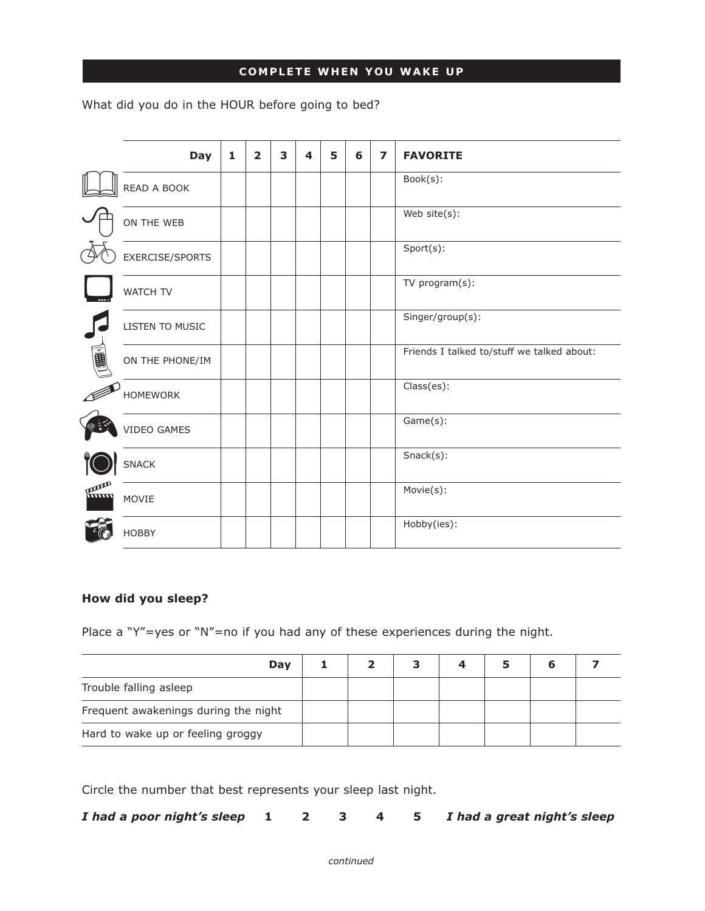## **COMPLETE WHEN YOU WAKE UP**

What did you do in the HOUR before going to bed?

|     | <b>Day</b>      | 1 | $\overline{2}$ | 3 | 4 | 5 | 6 | $\overline{z}$ | <b>FAVORITE</b>                            |
|-----|-----------------|---|----------------|---|---|---|---|----------------|--------------------------------------------|
|     | READ A BOOK     |   |                |   |   |   |   |                | Book(s):                                   |
|     | ON THE WEB      |   |                |   |   |   |   |                | Web site(s):                               |
|     | EXERCISE/SPORTS |   |                |   |   |   |   |                | Sport(s):                                  |
|     | <b>WATCH TV</b> |   |                |   |   |   |   |                | TV program(s):                             |
|     | LISTEN TO MUSIC |   |                |   |   |   |   |                | Singer/group(s):                           |
| 画画  | ON THE PHONE/IM |   |                |   |   |   |   |                | Friends I talked to/stuff we talked about: |
|     | <b>HOMEWORK</b> |   |                |   |   |   |   |                | Class(es):                                 |
|     | VIDEO GAMES     |   |                |   |   |   |   |                | Game(s):                                   |
|     | SNACK           |   |                |   |   |   |   |                | $Snack(s)$ :                               |
| Hum | MOVIE           |   |                |   |   |   |   |                | Movie(s):                                  |
|     | <b>HOBBY</b>    |   |                |   |   |   |   |                | Hobby(ies):                                |

### **How did you sleep?**

Place a "Y"=yes or "N"=no if you had any of these experiences during the night.

| Day                                  |  | 4 | h |  |
|--------------------------------------|--|---|---|--|
| Trouble falling asleep               |  |   |   |  |
| Frequent awakenings during the night |  |   |   |  |
| Hard to wake up or feeling groggy    |  |   |   |  |

Circle the number that best represents your sleep last night.

| I had a poor night's sleep 1 |  |  |  |  |  | 2 3 4 5 I had a great night's sleep |
|------------------------------|--|--|--|--|--|-------------------------------------|
|------------------------------|--|--|--|--|--|-------------------------------------|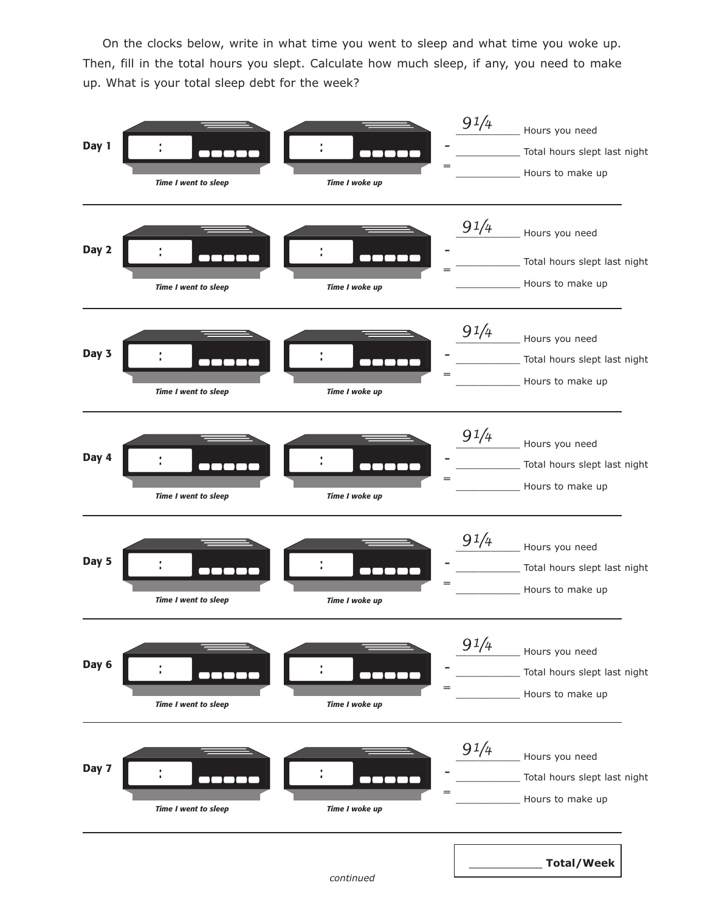On the clocks below, write in what time you went to sleep and what time you woke up. Then, fill in the total hours you slept. Calculate how much sleep, if any, you need to make up. What is your total sleep debt for the week?

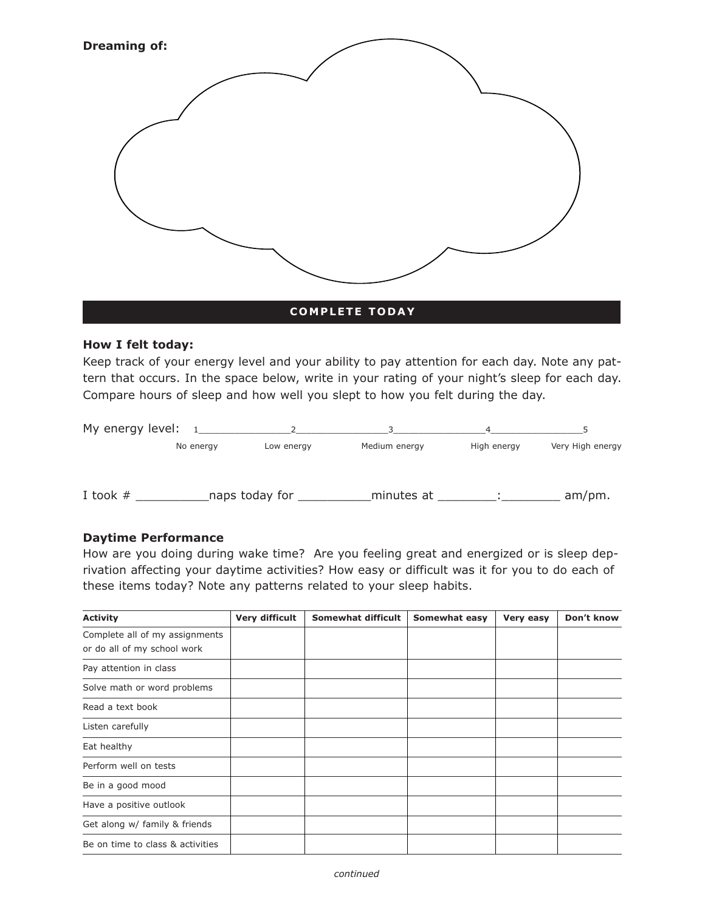

#### **COMPLETE TODAY**

#### **How I felt today:**

Keep track of your energy level and your ability to pay attention for each day. Note any pattern that occurs. In the space below, write in your rating of your night's sleep for each day. Compare hours of sleep and how well you slept to how you felt during the day.

| My energy level: |           |                |               |             |                  |
|------------------|-----------|----------------|---------------|-------------|------------------|
|                  | No energy | Low energy     | Medium energy | High energy | Very High energy |
| I took $#$       |           | naps today for | minutes at    |             | $am/pm$ .        |

#### **Daytime Performance**

How are you doing during wake time? Are you feeling great and energized or is sleep deprivation affecting your daytime activities? How easy or difficult was it for you to do each of these items today? Note any patterns related to your sleep habits.

| <b>Activity</b>                                               | Very difficult | Somewhat difficult | Somewhat easy | Very easy | Don't know |
|---------------------------------------------------------------|----------------|--------------------|---------------|-----------|------------|
| Complete all of my assignments<br>or do all of my school work |                |                    |               |           |            |
| Pay attention in class                                        |                |                    |               |           |            |
| Solve math or word problems                                   |                |                    |               |           |            |
| Read a text book                                              |                |                    |               |           |            |
| Listen carefully                                              |                |                    |               |           |            |
| Eat healthy                                                   |                |                    |               |           |            |
| Perform well on tests                                         |                |                    |               |           |            |
| Be in a good mood                                             |                |                    |               |           |            |
| Have a positive outlook                                       |                |                    |               |           |            |
| Get along w/ family & friends                                 |                |                    |               |           |            |
| Be on time to class & activities                              |                |                    |               |           |            |